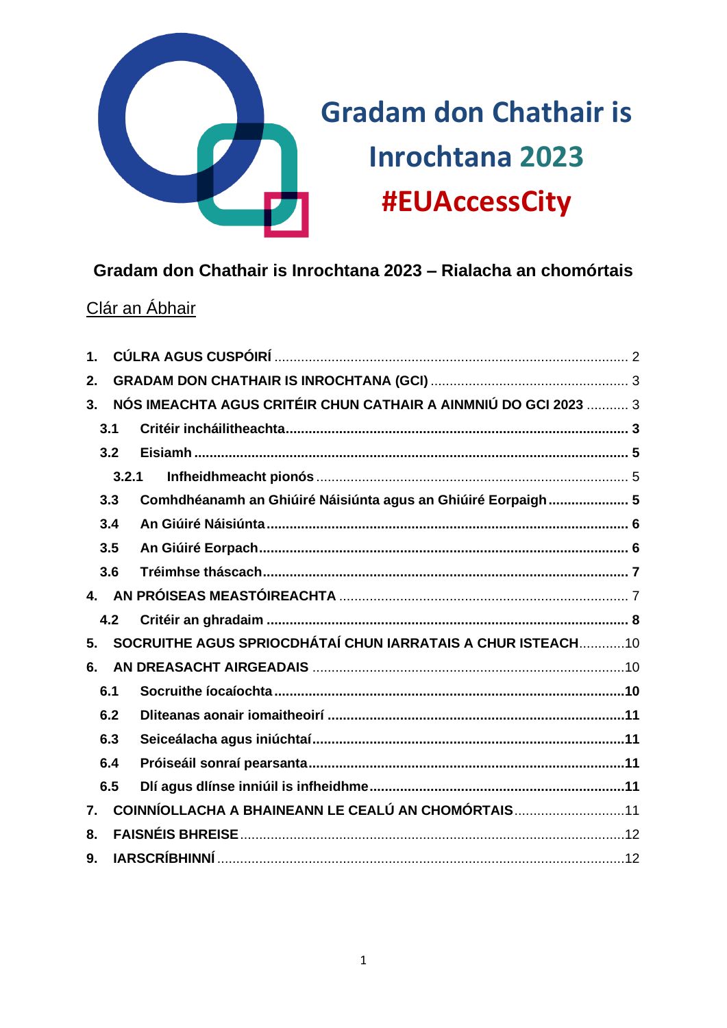

# **Gradam don Chathair is Inrochtana 2023 – Rialacha an chomórtais**

# Clár an Ábhair

| $\mathbf 1$      |       |                                                                 |  |  |  |
|------------------|-------|-----------------------------------------------------------------|--|--|--|
| 2.               |       |                                                                 |  |  |  |
| 3 <sub>1</sub>   |       | NÓS IMEACHTA AGUS CRITÉIR CHUN CATHAIR A AINMNIÚ DO GCI 2023  3 |  |  |  |
|                  | 3.1   |                                                                 |  |  |  |
|                  | 3.2   |                                                                 |  |  |  |
|                  | 3.2.1 |                                                                 |  |  |  |
|                  | 3.3   | Comhdhéanamh an Ghiúiré Náisiúnta agus an Ghiúiré Eorpaigh 5    |  |  |  |
|                  | 3.4   |                                                                 |  |  |  |
|                  | 3.5   |                                                                 |  |  |  |
|                  | 3.6   |                                                                 |  |  |  |
|                  |       |                                                                 |  |  |  |
|                  | 4.2   |                                                                 |  |  |  |
| 5.               |       | SOCRUITHE AGUS SPRIOCDHÁTAÍ CHUN IARRATAIS A CHUR ISTEACH10     |  |  |  |
| 6.               |       |                                                                 |  |  |  |
|                  | 6.1   |                                                                 |  |  |  |
|                  | 6.2   |                                                                 |  |  |  |
|                  | 6.3   |                                                                 |  |  |  |
|                  | 6.4   |                                                                 |  |  |  |
|                  | 6.5   |                                                                 |  |  |  |
| $\overline{7}$ . |       | COINNÍOLLACHA A BHAINEANN LE CEALÚ AN CHOMÓRTAIS11              |  |  |  |
| 8.               |       |                                                                 |  |  |  |
| 9.               |       |                                                                 |  |  |  |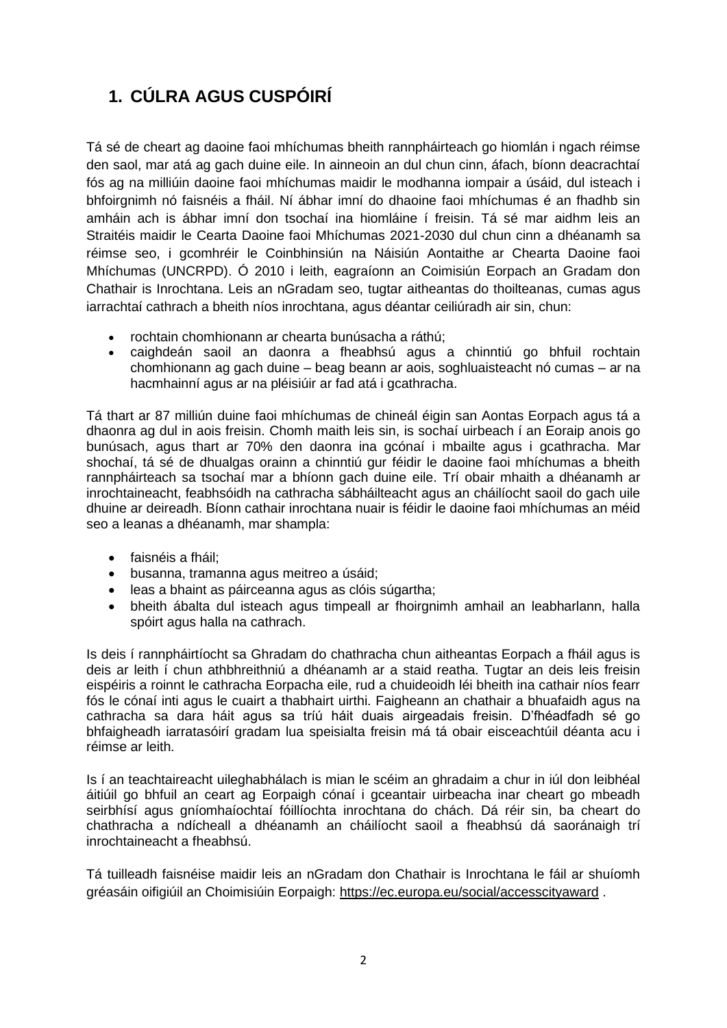# <span id="page-1-0"></span>**1. CÚLRA AGUS CUSPÓIRÍ**

Tá sé de cheart ag daoine faoi mhíchumas bheith rannpháirteach go hiomlán i ngach réimse den saol, mar atá ag gach duine eile. In ainneoin an dul chun cinn, áfach, bíonn deacrachtaí fós ag na milliúin daoine faoi mhíchumas maidir le modhanna iompair a úsáid, dul isteach i bhfoirgnimh nó faisnéis a fháil. Ní ábhar imní do dhaoine faoi mhíchumas é an fhadhb sin amháin ach is ábhar imní don tsochaí ina hiomláine í freisin. Tá sé mar aidhm leis an Straitéis maidir le Cearta Daoine faoi Mhíchumas 2021-2030 dul chun cinn a dhéanamh sa réimse seo, i gcomhréir le Coinbhinsiún na Náisiún Aontaithe ar Chearta Daoine faoi Mhíchumas (UNCRPD). Ó 2010 i leith, eagraíonn an Coimisiún Eorpach an Gradam don Chathair is Inrochtana. Leis an nGradam seo, tugtar aitheantas do thoilteanas, cumas agus iarrachtaí cathrach a bheith níos inrochtana, agus déantar ceiliúradh air sin, chun:

- rochtain chomhionann ar chearta bunúsacha a ráthú;
- caighdeán saoil an daonra a fheabhsú agus a chinntiú go bhfuil rochtain chomhionann ag gach duine – beag beann ar aois, soghluaisteacht nó cumas – ar na hacmhainní agus ar na pléisiúir ar fad atá i gcathracha.

Tá thart ar 87 milliún duine faoi mhíchumas de chineál éigin san Aontas Eorpach agus tá a dhaonra ag dul in aois freisin. Chomh maith leis sin, is sochaí uirbeach í an Eoraip anois go bunúsach, agus thart ar 70% den daonra ina gcónaí i mbailte agus i gcathracha. Mar shochaí, tá sé de dhualgas orainn a chinntiú gur féidir le daoine faoi mhíchumas a bheith rannpháirteach sa tsochaí mar a bhíonn gach duine eile. Trí obair mhaith a dhéanamh ar inrochtaineacht, feabhsóidh na cathracha sábháilteacht agus an cháilíocht saoil do gach uile dhuine ar deireadh. Bíonn cathair inrochtana nuair is féidir le daoine faoi mhíchumas an méid seo a leanas a dhéanamh, mar shampla:

- faisnéis a fháil;
- busanna, tramanna agus meitreo a úsáid;
- leas a bhaint as páirceanna agus as clóis súgartha;
- bheith ábalta dul isteach agus timpeall ar fhoirgnimh amhail an leabharlann, halla spóirt agus halla na cathrach.

Is deis í rannpháirtíocht sa Ghradam do chathracha chun aitheantas Eorpach a fháil agus is deis ar leith í chun athbhreithniú a dhéanamh ar a staid reatha. Tugtar an deis leis freisin eispéiris a roinnt le cathracha Eorpacha eile, rud a chuideoidh léi bheith ina cathair níos fearr fós le cónaí inti agus le cuairt a thabhairt uirthi. Faigheann an chathair a bhuafaidh agus na cathracha sa dara háit agus sa tríú háit duais airgeadais freisin. D'fhéadfadh sé go bhfaigheadh iarratasóirí gradam lua speisialta freisin má tá obair eisceachtúil déanta acu i réimse ar leith.

Is í an teachtaireacht uileghabhálach is mian le scéim an ghradaim a chur in iúl don leibhéal áitiúil go bhfuil an ceart ag Eorpaigh cónaí i gceantair uirbeacha inar cheart go mbeadh seirbhísí agus gníomhaíochtaí fóillíochta inrochtana do chách. Dá réir sin, ba cheart do chathracha a ndícheall a dhéanamh an cháilíocht saoil a fheabhsú dá saoránaigh trí inrochtaineacht a fheabhsú.

Tá tuilleadh faisnéise maidir leis an nGradam don Chathair is Inrochtana le fáil ar shuíomh gréasáin oifigiúil an Choimisiúin Eorpaigh:<https://ec.europa.eu/social/accesscityaward> .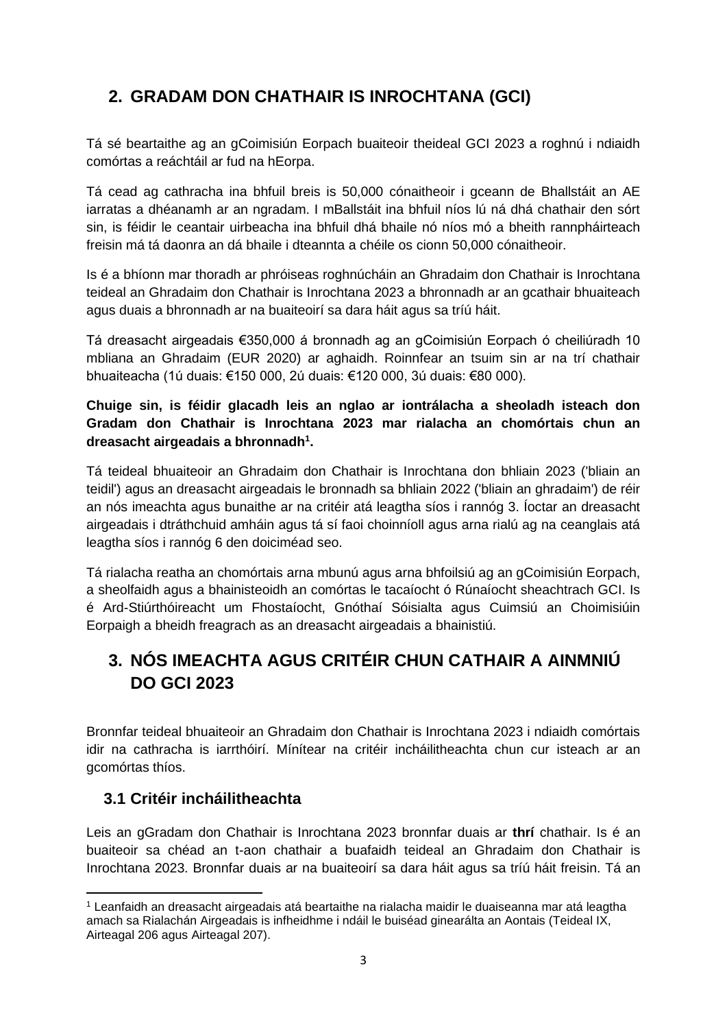# <span id="page-2-0"></span>**2. GRADAM DON CHATHAIR IS INROCHTANA (GCI)**

Tá sé beartaithe ag an gCoimisiún Eorpach buaiteoir theideal GCI 2023 a roghnú i ndiaidh comórtas a reáchtáil ar fud na hEorpa.

Tá cead ag cathracha ina bhfuil breis is 50,000 cónaitheoir i gceann de Bhallstáit an AE iarratas a dhéanamh ar an ngradam. I mBallstáit ina bhfuil níos lú ná dhá chathair den sórt sin, is féidir le ceantair uirbeacha ina bhfuil dhá bhaile nó níos mó a bheith rannpháirteach freisin má tá daonra an dá bhaile i dteannta a chéile os cionn 50,000 cónaitheoir.

Is é a bhíonn mar thoradh ar phróiseas roghnúcháin an Ghradaim don Chathair is Inrochtana teideal an Ghradaim don Chathair is Inrochtana 2023 a bhronnadh ar an gcathair bhuaiteach agus duais a bhronnadh ar na buaiteoirí sa dara háit agus sa tríú háit.

Tá dreasacht airgeadais €350,000 á bronnadh ag an gCoimisiún Eorpach ó cheiliúradh 10 mbliana an Ghradaim (EUR 2020) ar aghaidh. Roinnfear an tsuim sin ar na trí chathair bhuaiteacha (1ú duais: €150 000, 2ú duais: €120 000, 3ú duais: €80 000).

**Chuige sin, is féidir glacadh leis an nglao ar iontrálacha a sheoladh isteach don Gradam don Chathair is Inrochtana 2023 mar rialacha an chomórtais chun an dreasacht airgeadais a bhronnadh<sup>1</sup> .**

Tá teideal bhuaiteoir an Ghradaim don Chathair is Inrochtana don bhliain 2023 ('bliain an teidil') agus an dreasacht airgeadais le bronnadh sa bhliain 2022 ('bliain an ghradaim') de réir an nós imeachta agus bunaithe ar na critéir atá leagtha síos i rannóg 3. Íoctar an dreasacht airgeadais i dtráthchuid amháin agus tá sí faoi choinníoll agus arna rialú ag na ceanglais atá leagtha síos i rannóg 6 den doiciméad seo.

Tá rialacha reatha an chomórtais arna mbunú agus arna bhfoilsiú ag an gCoimisiún Eorpach, a sheolfaidh agus a bhainisteoidh an comórtas le tacaíocht ó Rúnaíocht sheachtrach GCI. Is é Ard-Stiúrthóireacht um Fhostaíocht, Gnóthaí Sóisialta agus Cuimsiú an Choimisiúin Eorpaigh a bheidh freagrach as an dreasacht airgeadais a bhainistiú.

# <span id="page-2-1"></span>**3. NÓS IMEACHTA AGUS CRITÉIR CHUN CATHAIR A AINMNIÚ DO GCI 2023**

Bronnfar teideal bhuaiteoir an Ghradaim don Chathair is Inrochtana 2023 i ndiaidh comórtais idir na cathracha is iarrthóirí. Mínítear na critéir incháilitheachta chun cur isteach ar an gcomórtas thíos.

## <span id="page-2-2"></span>**3.1 Critéir incháilitheachta**

Leis an gGradam don Chathair is Inrochtana 2023 bronnfar duais ar **thrí** chathair. Is é an buaiteoir sa chéad an t-aon chathair a buafaidh teideal an Ghradaim don Chathair is Inrochtana 2023. Bronnfar duais ar na buaiteoirí sa dara háit agus sa tríú háit freisin. Tá an

<sup>1</sup> Leanfaidh an dreasacht airgeadais atá beartaithe na rialacha maidir le duaiseanna mar atá leagtha amach sa Rialachán Airgeadais is infheidhme i ndáil le buiséad ginearálta an Aontais (Teideal IX, Airteagal 206 agus Airteagal 207).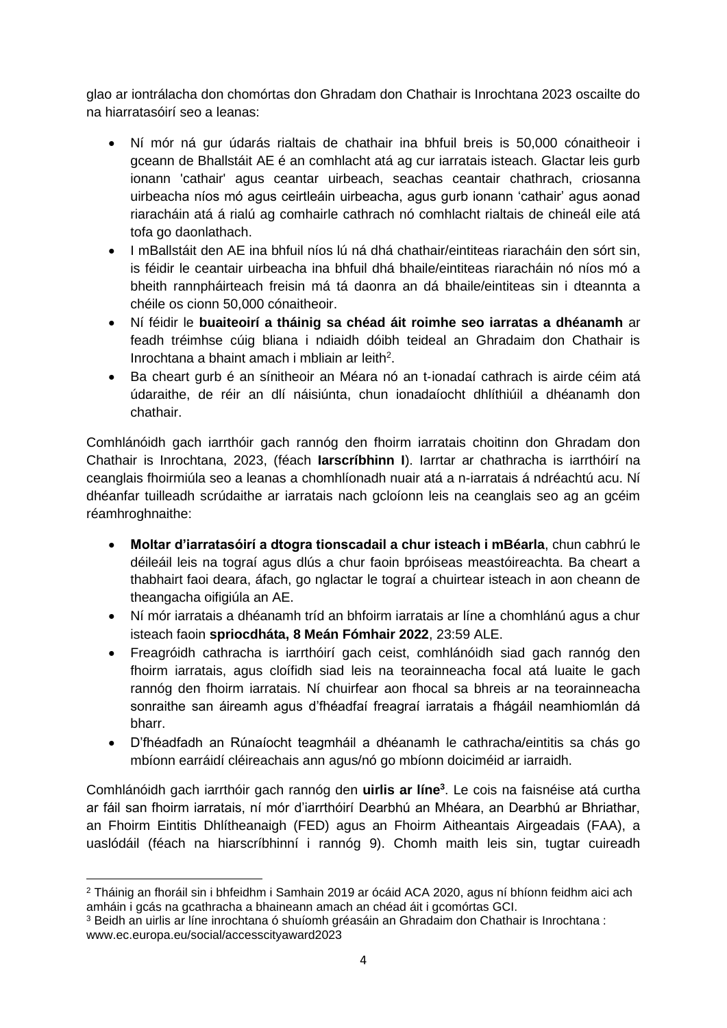glao ar iontrálacha don chomórtas don Ghradam don Chathair is Inrochtana 2023 oscailte do na hiarratasóirí seo a leanas:

- Ní mór ná gur údarás rialtais de chathair ina bhfuil breis is 50,000 cónaitheoir i gceann de Bhallstáit AE é an comhlacht atá ag cur iarratais isteach. Glactar leis gurb ionann 'cathair' agus ceantar uirbeach, seachas ceantair chathrach, criosanna uirbeacha níos mó agus ceirtleáin uirbeacha, agus gurb ionann 'cathair' agus aonad riaracháin atá á rialú ag comhairle cathrach nó comhlacht rialtais de chineál eile atá tofa go daonlathach.
- I mBallstáit den AE ina bhfuil níos lú ná dhá chathair/eintiteas riaracháin den sórt sin, is féidir le ceantair uirbeacha ina bhfuil dhá bhaile/eintiteas riaracháin nó níos mó a bheith rannpháirteach freisin má tá daonra an dá bhaile/eintiteas sin i dteannta a chéile os cionn 50,000 cónaitheoir.
- Ní féidir le **buaiteoirí a tháinig sa chéad áit roimhe seo iarratas a dhéanamh** ar feadh tréimhse cúig bliana i ndiaidh dóibh teideal an Ghradaim don Chathair is Inrochtana a bhaint amach i mbliain ar leith<sup>2</sup>.
- Ba cheart gurb é an sínitheoir an Méara nó an t‑ionadaí cathrach is airde céim atá údaraithe, de réir an dlí náisiúnta, chun ionadaíocht dhlíthiúil a dhéanamh don chathair.

Comhlánóidh gach iarrthóir gach rannóg den fhoirm iarratais choitinn don Ghradam don Chathair is Inrochtana, 2023, (féach **Iarscríbhinn I**). Iarrtar ar chathracha is iarrthóirí na ceanglais fhoirmiúla seo a leanas a chomhlíonadh nuair atá a n-iarratais á ndréachtú acu. Ní dhéanfar tuilleadh scrúdaithe ar iarratais nach gcloíonn leis na ceanglais seo ag an gcéim réamhroghnaithe:

- **Moltar d'iarratasóirí a dtogra tionscadail a chur isteach i mBéarla**, chun cabhrú le déileáil leis na tograí agus dlús a chur faoin bpróiseas meastóireachta. Ba cheart a thabhairt faoi deara, áfach, go nglactar le tograí a chuirtear isteach in aon cheann de theangacha oifigiúla an AE.
- Ní mór iarratais a dhéanamh tríd an bhfoirm iarratais ar líne a chomhlánú agus a chur isteach faoin **spriocdháta, 8 Meán Fómhair 2022**, 23:59 ALE.
- Freagróidh cathracha is iarrthóirí gach ceist, comhlánóidh siad gach rannóg den fhoirm iarratais, agus cloífidh siad leis na teorainneacha focal atá luaite le gach rannóg den fhoirm iarratais. Ní chuirfear aon fhocal sa bhreis ar na teorainneacha sonraithe san áireamh agus d'fhéadfaí freagraí iarratais a fhágáil neamhiomlán dá bharr.
- D'fhéadfadh an Rúnaíocht teagmháil a dhéanamh le cathracha/eintitis sa chás go mbíonn earráidí cléireachais ann agus/nó go mbíonn doiciméid ar iarraidh.

Comhlánóidh gach iarrthóir gach rannóg den **uirlis ar líne<sup>3</sup>** . Le cois na faisnéise atá curtha ar fáil san fhoirm iarratais, ní mór d'iarrthóirí Dearbhú an Mhéara, an Dearbhú ar Bhriathar, an Fhoirm Eintitis Dhlítheanaigh (FED) agus an Fhoirm Aitheantais Airgeadais (FAA), a uaslódáil (féach na hiarscríbhinní i rannóg 9). Chomh maith leis sin, tugtar cuireadh

<sup>2</sup> Tháinig an fhoráil sin i bhfeidhm i Samhain 2019 ar ócáid ACA 2020, agus ní bhíonn feidhm aici ach amháin i gcás na gcathracha a bhaineann amach an chéad áit i gcomórtas GCI.

<sup>3</sup> Beidh an uirlis ar líne inrochtana ó shuíomh gréasáin an Ghradaim don Chathair is Inrochtana : www.ec.europa.eu/social/accesscityaward2023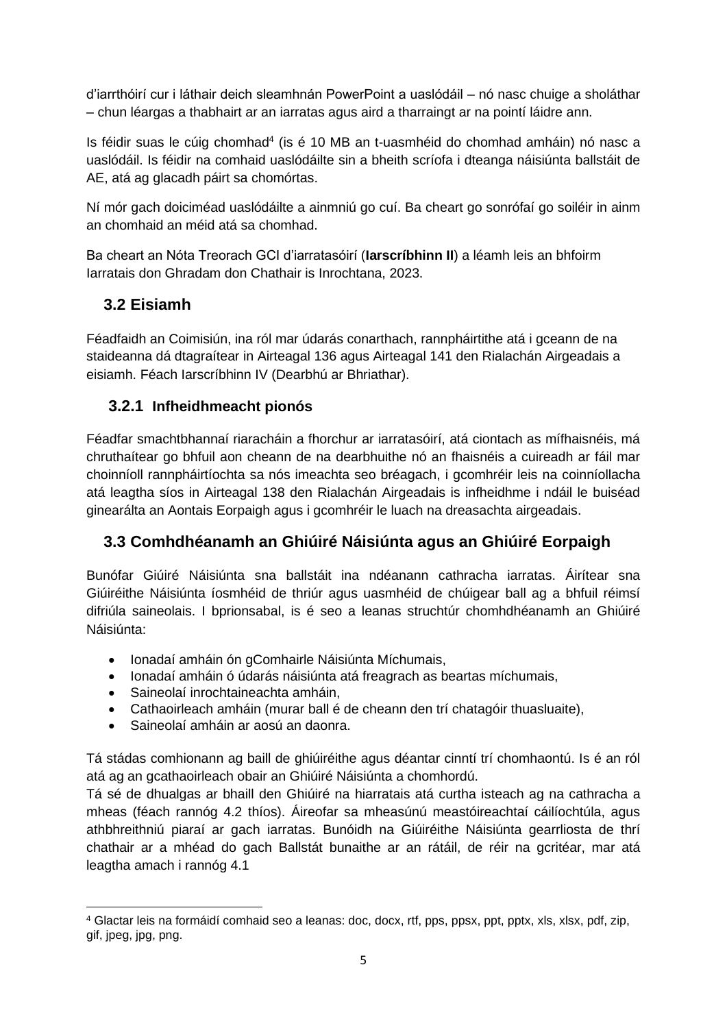d'iarrthóirí cur i láthair deich sleamhnán PowerPoint a uaslódáil – nó nasc chuige a sholáthar – chun léargas a thabhairt ar an iarratas agus aird a tharraingt ar na pointí láidre ann.

Is féidir suas le cúig chomhad<sup>4</sup> (is é 10 MB an t-uasmhéid do chomhad amháin) nó nasc a uaslódáil. Is féidir na comhaid uaslódáilte sin a bheith scríofa i dteanga náisiúnta ballstáit de AE, atá ag glacadh páirt sa chomórtas.

Ní mór gach doiciméad uaslódáilte a ainmniú go cuí. Ba cheart go sonrófaí go soiléir in ainm an chomhaid an méid atá sa chomhad.

Ba cheart an Nóta Treorach GCI d'iarratasóirí (**Iarscríbhinn II**) a léamh leis an bhfoirm Iarratais don Ghradam don Chathair is Inrochtana, 2023.

## <span id="page-4-0"></span>**3.2 Eisiamh**

Féadfaidh an Coimisiún, ina ról mar údarás conarthach, rannpháirtithe atá i gceann de na staideanna dá dtagraítear in Airteagal 136 agus Airteagal 141 den Rialachán Airgeadais a eisiamh. Féach Iarscríbhinn IV (Dearbhú ar Bhriathar).

### <span id="page-4-1"></span>**3.2.1 Infheidhmeacht pionós**

Féadfar smachtbhannaí riaracháin a fhorchur ar iarratasóirí, atá ciontach as mífhaisnéis, má chruthaítear go bhfuil aon cheann de na dearbhuithe nó an fhaisnéis a cuireadh ar fáil mar choinníoll rannpháirtíochta sa nós imeachta seo bréagach, i gcomhréir leis na coinníollacha atá leagtha síos in Airteagal 138 den Rialachán Airgeadais is infheidhme i ndáil le buiséad ginearálta an Aontais Eorpaigh agus i gcomhréir le luach na dreasachta airgeadais.

## <span id="page-4-2"></span>**3.3 Comhdhéanamh an Ghiúiré Náisiúnta agus an Ghiúiré Eorpaigh**

Bunófar Giúiré Náisiúnta sna ballstáit ina ndéanann cathracha iarratas. Áirítear sna Giúiréithe Náisiúnta íosmhéid de thriúr agus uasmhéid de chúigear ball ag a bhfuil réimsí difriúla saineolais. I bprionsabal, is é seo a leanas struchtúr chomhdhéanamh an Ghiúiré Náisiúnta:

- Ionadaí amháin ón gComhairle Náisiúnta Míchumais,
- Ionadaí amháin ó údarás náisiúnta atá freagrach as beartas míchumais,
- Saineolaí inrochtaineachta amháin,
- Cathaoirleach amháin (murar ball é de cheann den trí chatagóir thuasluaite),
- Saineolaí amháin ar aosú an daonra.

Tá stádas comhionann ag baill de ghiúiréithe agus déantar cinntí trí chomhaontú. Is é an ról atá ag an gcathaoirleach obair an Ghiúiré Náisiúnta a chomhordú.

Tá sé de dhualgas ar bhaill den Ghiúiré na hiarratais atá curtha isteach ag na cathracha a mheas (féach rannóg 4.2 thíos). Áireofar sa mheasúnú meastóireachtaí cáilíochtúla, agus athbhreithniú piaraí ar gach iarratas. Bunóidh na Giúiréithe Náisiúnta gearrliosta de thrí chathair ar a mhéad do gach Ballstát bunaithe ar an rátáil, de réir na gcritéar, mar atá leagtha amach i rannóg 4.1

<sup>4</sup> Glactar leis na formáidí comhaid seo a leanas: doc, docx, rtf, pps, ppsx, ppt, pptx, xls, xlsx, pdf, zip, gif, jpeg, jpg, png.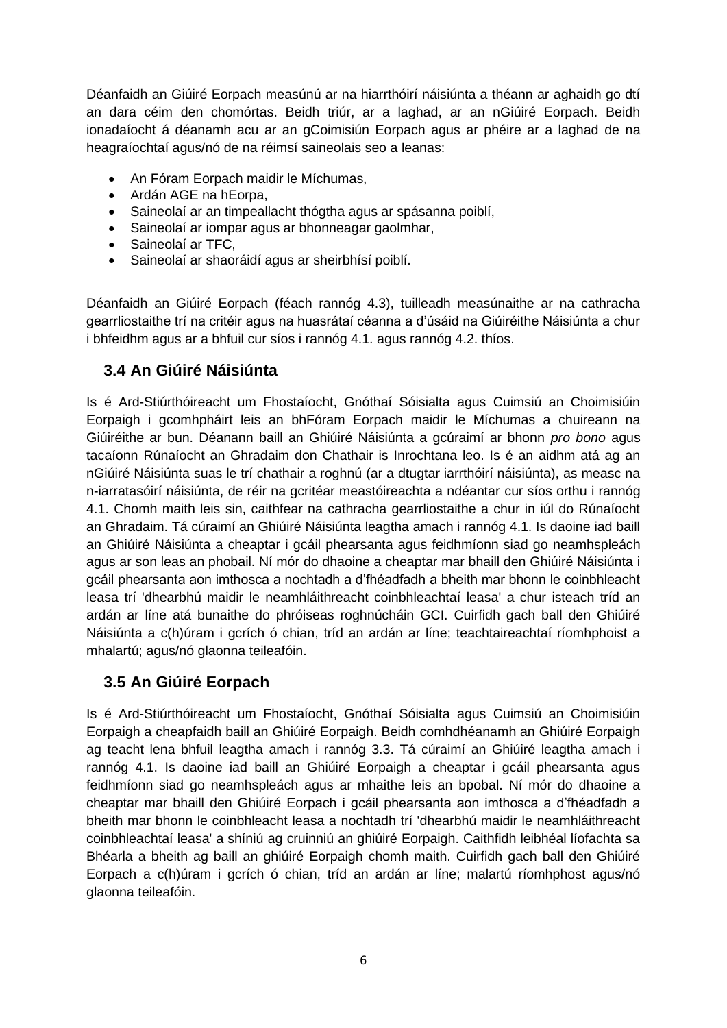Déanfaidh an Giúiré Eorpach measúnú ar na hiarrthóirí náisiúnta a théann ar aghaidh go dtí an dara céim den chomórtas. Beidh triúr, ar a laghad, ar an nGiúiré Eorpach. Beidh ionadaíocht á déanamh acu ar an gCoimisiún Eorpach agus ar phéire ar a laghad de na heagraíochtaí agus/nó de na réimsí saineolais seo a leanas:

- An Fóram Eorpach maidir le Míchumas,
- Ardán AGE na hEorpa,
- Saineolaí ar an timpeallacht thógtha agus ar spásanna poiblí,
- Saineolaí ar iompar agus ar bhonneagar gaolmhar,
- Saineolaí ar TFC,
- Saineolaí ar shaoráidí agus ar sheirbhísí poiblí.

Déanfaidh an Giúiré Eorpach (féach rannóg 4.3), tuilleadh measúnaithe ar na cathracha gearrliostaithe trí na critéir agus na huasrátaí céanna a d'úsáid na Giúiréithe Náisiúnta a chur i bhfeidhm agus ar a bhfuil cur síos i rannóg 4.1. agus rannóg 4.2. thíos.

### <span id="page-5-0"></span>**3.4 An Giúiré Náisiúnta**

Is é Ard-Stiúrthóireacht um Fhostaíocht, Gnóthaí Sóisialta agus Cuimsiú an Choimisiúin Eorpaigh i gcomhpháirt leis an bhFóram Eorpach maidir le Míchumas a chuireann na Giúiréithe ar bun. Déanann baill an Ghiúiré Náisiúnta a gcúraimí ar bhonn *pro bono* agus tacaíonn Rúnaíocht an Ghradaim don Chathair is Inrochtana leo. Is é an aidhm atá ag an nGiúiré Náisiúnta suas le trí chathair a roghnú (ar a dtugtar iarrthóirí náisiúnta), as measc na n-iarratasóirí náisiúnta, de réir na gcritéar meastóireachta a ndéantar cur síos orthu i rannóg 4.1. Chomh maith leis sin, caithfear na cathracha gearrliostaithe a chur in iúl do Rúnaíocht an Ghradaim. Tá cúraimí an Ghiúiré Náisiúnta leagtha amach i rannóg 4.1. Is daoine iad baill an Ghiúiré Náisiúnta a cheaptar i gcáil phearsanta agus feidhmíonn siad go neamhspleách agus ar son leas an phobail. Ní mór do dhaoine a cheaptar mar bhaill den Ghiúiré Náisiúnta i gcáil phearsanta aon imthosca a nochtadh a d'fhéadfadh a bheith mar bhonn le coinbhleacht leasa trí 'dhearbhú maidir le neamhláithreacht coinbhleachtaí leasa' a chur isteach tríd an ardán ar líne atá bunaithe do phróiseas roghnúcháin GCI. Cuirfidh gach ball den Ghiúiré Náisiúnta a c(h)úram i gcrích ó chian, tríd an ardán ar líne; teachtaireachtaí ríomhphoist a mhalartú; agus/nó glaonna teileafóin.

## <span id="page-5-1"></span>**3.5 An Giúiré Eorpach**

Is é Ard-Stiúrthóireacht um Fhostaíocht, Gnóthaí Sóisialta agus Cuimsiú an Choimisiúin Eorpaigh a cheapfaidh baill an Ghiúiré Eorpaigh. Beidh comhdhéanamh an Ghiúiré Eorpaigh ag teacht lena bhfuil leagtha amach i rannóg 3.3. Tá cúraimí an Ghiúiré leagtha amach i rannóg 4.1. Is daoine iad baill an Ghiúiré Eorpaigh a cheaptar i gcáil phearsanta agus feidhmíonn siad go neamhspleách agus ar mhaithe leis an bpobal. Ní mór do dhaoine a cheaptar mar bhaill den Ghiúiré Eorpach i gcáil phearsanta aon imthosca a d'fhéadfadh a bheith mar bhonn le coinbhleacht leasa a nochtadh trí 'dhearbhú maidir le neamhláithreacht coinbhleachtaí leasa' a shíniú ag cruinniú an ghiúiré Eorpaigh. Caithfidh leibhéal líofachta sa Bhéarla a bheith ag baill an ghiúiré Eorpaigh chomh maith. Cuirfidh gach ball den Ghiúiré Eorpach a c(h)úram i gcrích ó chian, tríd an ardán ar líne; malartú ríomhphost agus/nó glaonna teileafóin.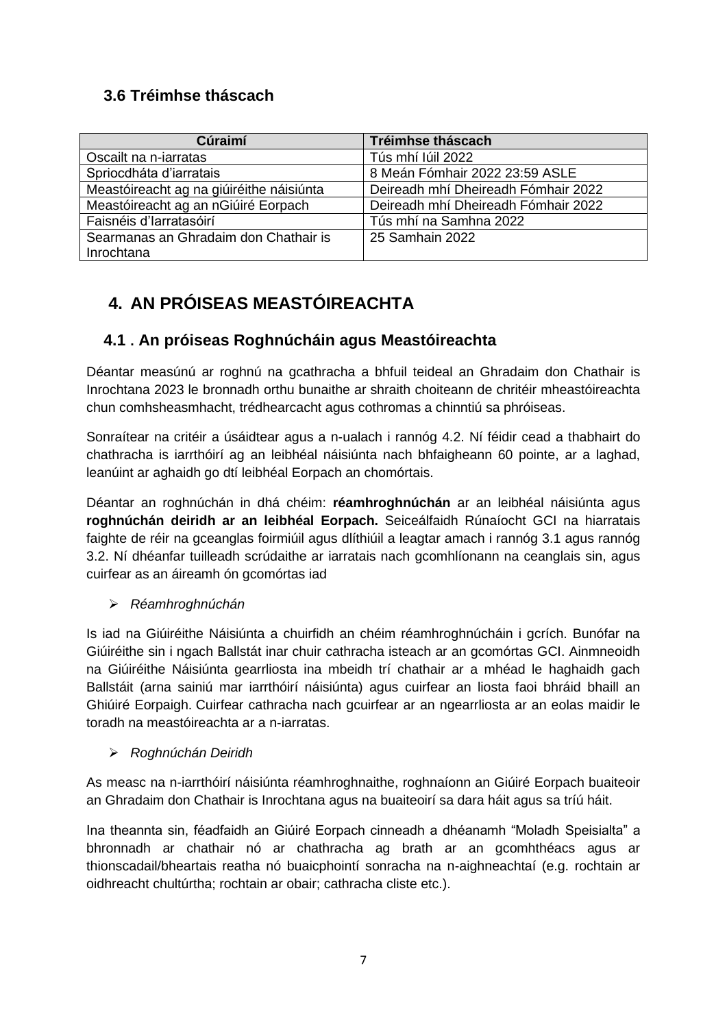## <span id="page-6-0"></span>**3.6 Tréimhse tháscach**

| Cúraimí                                  | Tréimhse tháscach                   |  |
|------------------------------------------|-------------------------------------|--|
| Oscailt na n-iarratas                    | Tús mhí Iúil 2022                   |  |
| Spriocdháta d'iarratais                  | 8 Meán Fómhair 2022 23:59 ASLE      |  |
| Meastóireacht ag na giúiréithe náisiúnta | Deireadh mhí Dheireadh Fómhair 2022 |  |
| Meastóireacht ag an nGiúiré Eorpach      | Deireadh mhí Dheireadh Fómhair 2022 |  |
| Faisnéis d'Iarratasóirí                  | Tús mhí na Samhna 2022              |  |
| Searmanas an Ghradaim don Chathair is    | 25 Samhain 2022                     |  |
| Inrochtana                               |                                     |  |

# <span id="page-6-1"></span>**4. AN PRÓISEAS MEASTÓIREACHTA**

## **4.1 . An próiseas Roghnúcháin agus Meastóireachta**

Déantar measúnú ar roghnú na gcathracha a bhfuil teideal an Ghradaim don Chathair is Inrochtana 2023 le bronnadh orthu bunaithe ar shraith choiteann de chritéir mheastóireachta chun comhsheasmhacht, trédhearcacht agus cothromas a chinntiú sa phróiseas.

Sonraítear na critéir a úsáidtear agus a n-ualach i rannóg 4.2. Ní féidir cead a thabhairt do chathracha is iarrthóirí ag an leibhéal náisiúnta nach bhfaigheann 60 pointe, ar a laghad, leanúint ar aghaidh go dtí leibhéal Eorpach an chomórtais.

Déantar an roghnúchán in dhá chéim: **réamhroghnúchán** ar an leibhéal náisiúnta agus **roghnúchán deiridh ar an leibhéal Eorpach.** Seiceálfaidh Rúnaíocht GCI na hiarratais faighte de réir na gceanglas foirmiúil agus dlíthiúil a leagtar amach i rannóg 3.1 agus rannóg 3.2. Ní dhéanfar tuilleadh scrúdaithe ar iarratais nach gcomhlíonann na ceanglais sin, agus cuirfear as an áireamh ón gcomórtas iad

### ➢ *Réamhroghnúchán*

Is iad na Giúiréithe Náisiúnta a chuirfidh an chéim réamhroghnúcháin i gcrích. Bunófar na Giúiréithe sin i ngach Ballstát inar chuir cathracha isteach ar an gcomórtas GCI. Ainmneoidh na Giúiréithe Náisiúnta gearrliosta ina mbeidh trí chathair ar a mhéad le haghaidh gach Ballstáit (arna sainiú mar iarrthóirí náisiúnta) agus cuirfear an liosta faoi bhráid bhaill an Ghiúiré Eorpaigh. Cuirfear cathracha nach gcuirfear ar an ngearrliosta ar an eolas maidir le toradh na meastóireachta ar a n-iarratas.

#### ➢ *Roghnúchán Deiridh*

As measc na n-iarrthóirí náisiúnta réamhroghnaithe, roghnaíonn an Giúiré Eorpach buaiteoir an Ghradaim don Chathair is Inrochtana agus na buaiteoirí sa dara háit agus sa tríú háit.

Ina theannta sin, féadfaidh an Giúiré Eorpach cinneadh a dhéanamh "Moladh Speisialta" a bhronnadh ar chathair nó ar chathracha ag brath ar an gcomhthéacs agus ar thionscadail/bheartais reatha nó buaicphointí sonracha na n-aighneachtaí (e.g. rochtain ar oidhreacht chultúrtha; rochtain ar obair; cathracha cliste etc.).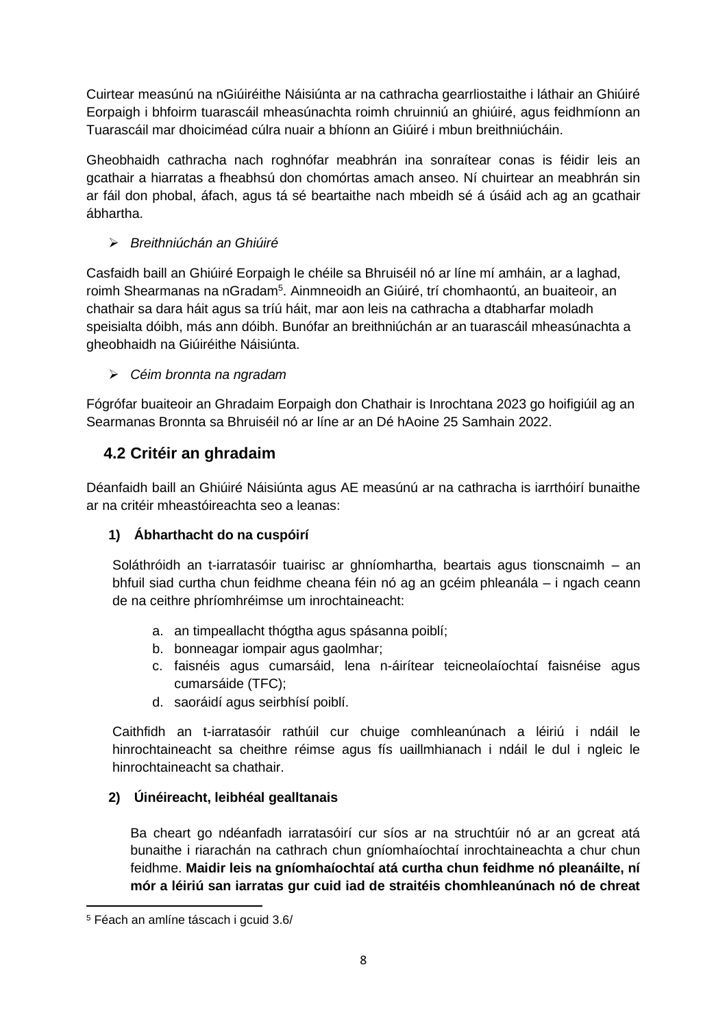Cuirtear measúnú na nGiúiréithe Náisiúnta ar na cathracha gearrliostaithe i láthair an Ghiúiré Eorpaigh i bhfoirm tuarascáil mheasúnachta roimh chruinniú an ghiúiré, agus feidhmíonn an Tuarascáil mar dhoiciméad cúlra nuair a bhíonn an Giúiré i mbun breithniúcháin.

Gheobhaidh cathracha nach roghnófar meabhrán ina sonraítear conas is féidir leis an gcathair a hiarratas a fheabhsú don chomórtas amach anseo. Ní chuirtear an meabhrán sin ar fáil don phobal, áfach, agus tá sé beartaithe nach mbeidh sé á úsáid ach ag an gcathair ábhartha.

### ➢ *Breithniúchán an Ghiúiré*

Casfaidh baill an Ghiúiré Eorpaigh le chéile sa Bhruiséil nó ar líne mí amháin, ar a laghad, roimh Shearmanas na nGradam<sup>5</sup>. Ainmneoidh an Giúiré, trí chomhaontú, an buaiteoir, an chathair sa dara háit agus sa tríú háit, mar aon leis na cathracha a dtabharfar moladh speisialta dóibh, más ann dóibh. Bunófar an breithniúchán ar an tuarascáil mheasúnachta a gheobhaidh na Giúiréithe Náisiúnta.

### ➢ *Céim bronnta na ngradam*

Fógrófar buaiteoir an Ghradaim Eorpaigh don Chathair is Inrochtana 2023 go hoifigiúil ag an Searmanas Bronnta sa Bhruiséil nó ar líne ar an Dé hAoine 25 Samhain 2022.

# <span id="page-7-0"></span>**4.2 Critéir an ghradaim**

Déanfaidh baill an Ghiúiré Náisiúnta agus AE measúnú ar na cathracha is iarrthóirí bunaithe ar na critéir mheastóireachta seo a leanas:

## **1) Ábharthacht do na cuspóirí**

Soláthróidh an t-iarratasóir tuairisc ar ghníomhartha, beartais agus tionscnaimh – an bhfuil siad curtha chun feidhme cheana féin nó ag an gcéim phleanála – i ngach ceann de na ceithre phríomhréimse um inrochtaineacht:

- a. an timpeallacht thógtha agus spásanna poiblí;
- b. bonneagar iompair agus gaolmhar;
- c. faisnéis agus cumarsáid, lena n-áirítear teicneolaíochtaí faisnéise agus cumarsáide (TFC);
- d. saoráidí agus seirbhísí poiblí.

Caithfidh an t-iarratasóir rathúil cur chuige comhleanúnach a léiriú i ndáil le hinrochtaineacht sa cheithre réimse agus fís uaillmhianach i ndáil le dul i ngleic le hinrochtaineacht sa chathair.

### **2) Úinéireacht, leibhéal gealltanais**

Ba cheart go ndéanfadh iarratasóirí cur síos ar na struchtúir nó ar an gcreat atá bunaithe i riarachán na cathrach chun gníomhaíochtaí inrochtaineachta a chur chun feidhme. **Maidir leis na gníomhaíochtaí atá curtha chun feidhme nó pleanáilte, ní mór a léiriú san iarratas gur cuid iad de straitéis chomhleanúnach nó de chreat** 

<sup>5</sup> Féach an amlíne táscach i gcuid 3.6/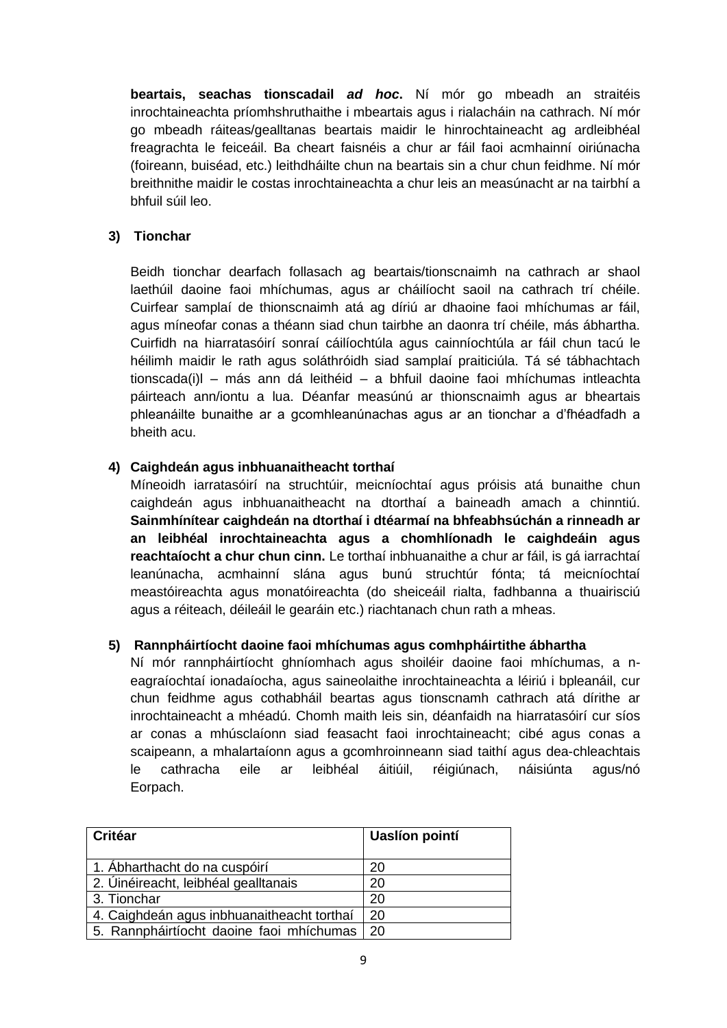**beartais, seachas tionscadail** *ad hoc***.** Ní mór go mbeadh an straitéis inrochtaineachta príomhshruthaithe i mbeartais agus i rialacháin na cathrach. Ní mór go mbeadh ráiteas/gealltanas beartais maidir le hinrochtaineacht ag ardleibhéal freagrachta le feiceáil. Ba cheart faisnéis a chur ar fáil faoi acmhainní oiriúnacha (foireann, buiséad, etc.) leithdháilte chun na beartais sin a chur chun feidhme. Ní mór breithnithe maidir le costas inrochtaineachta a chur leis an measúnacht ar na tairbhí a bhfuil súil leo.

#### **3) Tionchar**

Beidh tionchar dearfach follasach ag beartais/tionscnaimh na cathrach ar shaol laethúil daoine faoi mhíchumas, agus ar cháilíocht saoil na cathrach trí chéile. Cuirfear samplaí de thionscnaimh atá ag díriú ar dhaoine faoi mhíchumas ar fáil, agus míneofar conas a théann siad chun tairbhe an daonra trí chéile, más ábhartha. Cuirfidh na hiarratasóirí sonraí cáilíochtúla agus cainníochtúla ar fáil chun tacú le héilimh maidir le rath agus soláthróidh siad samplaí praiticiúla. Tá sé tábhachtach tionscada(i)l – más ann dá leithéid – a bhfuil daoine faoi mhíchumas intleachta páirteach ann/iontu a lua. Déanfar measúnú ar thionscnaimh agus ar bheartais phleanáilte bunaithe ar a gcomhleanúnachas agus ar an tionchar a d'fhéadfadh a bheith acu.

#### **4) Caighdeán agus inbhuanaitheacht torthaí**

Míneoidh iarratasóirí na struchtúir, meicníochtaí agus próisis atá bunaithe chun caighdeán agus inbhuanaitheacht na dtorthaí a baineadh amach a chinntiú. **Sainmhínítear caighdeán na dtorthaí i dtéarmaí na bhfeabhsúchán a rinneadh ar an leibhéal inrochtaineachta agus a chomhlíonadh le caighdeáin agus reachtaíocht a chur chun cinn.** Le torthaí inbhuanaithe a chur ar fáil, is gá iarrachtaí leanúnacha, acmhainní slána agus bunú struchtúr fónta; tá meicníochtaí meastóireachta agus monatóireachta (do sheiceáil rialta, fadhbanna a thuairisciú agus a réiteach, déileáil le gearáin etc.) riachtanach chun rath a mheas.

#### **5) Rannpháirtíocht daoine faoi mhíchumas agus comhpháirtithe ábhartha**

Ní mór rannpháirtíocht ghníomhach agus shoiléir daoine faoi mhíchumas, a neagraíochtaí ionadaíocha, agus saineolaithe inrochtaineachta a léiriú i bpleanáil, cur chun feidhme agus cothabháil beartas agus tionscnamh cathrach atá dírithe ar inrochtaineacht a mhéadú. Chomh maith leis sin, déanfaidh na hiarratasóirí cur síos ar conas a mhúsclaíonn siad feasacht faoi inrochtaineacht; cibé agus conas a scaipeann, a mhalartaíonn agus a gcomhroinneann siad taithí agus dea-chleachtais le cathracha eile ar leibhéal áitiúil, réigiúnach, náisiúnta agus/nó Eorpach.

| Critéar                                    | <b>Uaslíon pointí</b> |
|--------------------------------------------|-----------------------|
| 1. Abharthacht do na cuspóirí              | 20                    |
| 2. Úinéireacht, leibhéal gealltanais       | 20                    |
| 3. Tionchar                                | 20                    |
| 4. Caighdeán agus inbhuanaitheacht torthaí | 20                    |
| 5. Rannpháirtíocht daoine faoi mhíchumas   | -20                   |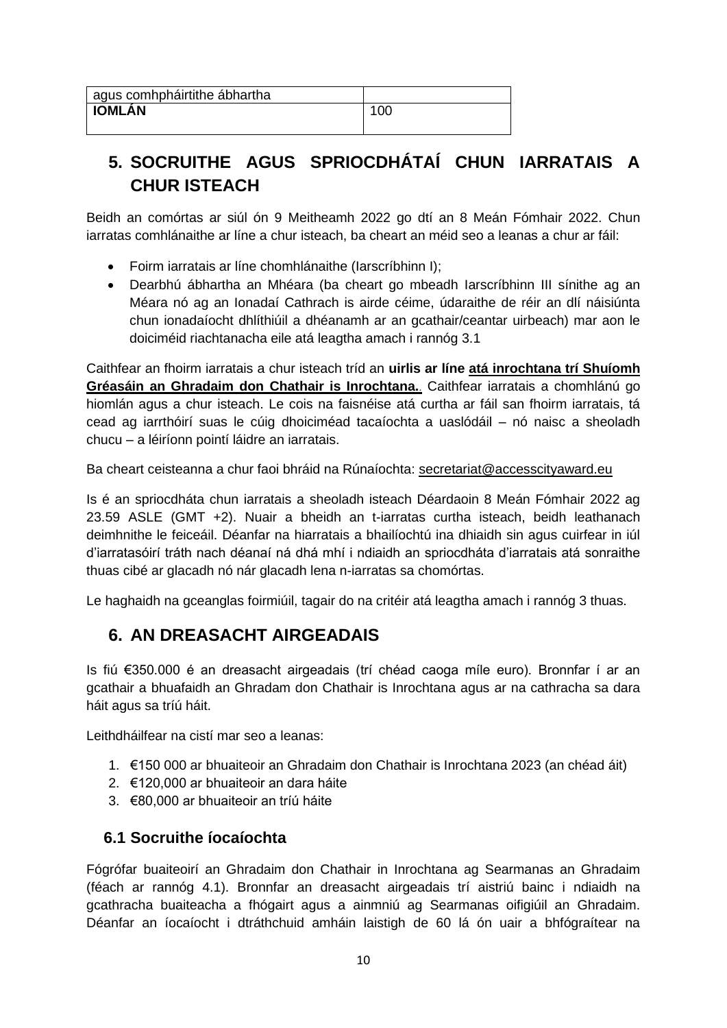# <span id="page-9-0"></span>**5. SOCRUITHE AGUS SPRIOCDHÁTAÍ CHUN IARRATAIS A CHUR ISTEACH**

Beidh an comórtas ar siúl ón 9 Meitheamh 2022 go dtí an 8 Meán Fómhair 2022. Chun iarratas comhlánaithe ar líne a chur isteach, ba cheart an méid seo a leanas a chur ar fáil:

- Foirm iarratais ar líne chomhlánaithe (Iarscríbhinn I);
- Dearbhú ábhartha an Mhéara (ba cheart go mbeadh Iarscríbhinn III sínithe ag an Méara nó ag an Ionadaí Cathrach is airde céime, údaraithe de réir an dlí náisiúnta chun ionadaíocht dhlíthiúil a dhéanamh ar an gcathair/ceantar uirbeach) mar aon le doiciméid riachtanacha eile atá leagtha amach i rannóg 3.1

Caithfear an fhoirm iarratais a chur isteach tríd an **uirlis ar líne [atá inrochtana trí Shuíomh](http://www.ec.europa.eu/social/accesscityaward)  [Gréasáin an Ghradaim don Chathair is Inrochtana.](http://www.ec.europa.eu/social/accesscityaward)**. Caithfear iarratais a chomhlánú go hiomlán agus a chur isteach. Le cois na faisnéise atá curtha ar fáil san fhoirm iarratais, tá cead ag iarrthóirí suas le cúig dhoiciméad tacaíochta a uaslódáil – nó naisc a sheoladh chucu – a léiríonn pointí láidre an iarratais.

Ba cheart ceisteanna a chur faoi bhráid na Rúnaíochta: [secretariat@accesscityaward.eu](mailto:secretariat@accesscityaward.eu)

Is é an spriocdháta chun iarratais a sheoladh isteach Déardaoin 8 Meán Fómhair 2022 ag 23.59 ASLE (GMT +2). Nuair a bheidh an t-iarratas curtha isteach, beidh leathanach deimhnithe le feiceáil. Déanfar na hiarratais a bhailíochtú ina dhiaidh sin agus cuirfear in iúl d'iarratasóirí tráth nach déanaí ná dhá mhí i ndiaidh an spriocdháta d'iarratais atá sonraithe thuas cibé ar glacadh nó nár glacadh lena n-iarratas sa chomórtas.

Le haghaidh na gceanglas foirmiúil, tagair do na critéir atá leagtha amach i rannóg 3 thuas.

# <span id="page-9-1"></span>**6. AN DREASACHT AIRGEADAIS**

Is fiú €350.000 é an dreasacht airgeadais (trí chéad caoga míle euro). Bronnfar í ar an gcathair a bhuafaidh an Ghradam don Chathair is Inrochtana agus ar na cathracha sa dara háit agus sa tríú háit.

Leithdháilfear na cistí mar seo a leanas:

- 1. €150 000 ar bhuaiteoir an Ghradaim don Chathair is Inrochtana 2023 (an chéad áit)
- 2. €120,000 ar bhuaiteoir an dara háite
- 3. €80,000 ar bhuaiteoir an tríú háite

### <span id="page-9-2"></span>**6.1 Socruithe íocaíochta**

Fógrófar buaiteoirí an Ghradaim don Chathair in Inrochtana ag Searmanas an Ghradaim (féach ar rannóg 4.1). Bronnfar an dreasacht airgeadais trí aistriú bainc i ndiaidh na gcathracha buaiteacha a fhógairt agus a ainmniú ag Searmanas oifigiúil an Ghradaim. Déanfar an íocaíocht i dtráthchuid amháin laistigh de 60 lá ón uair a bhfógraítear na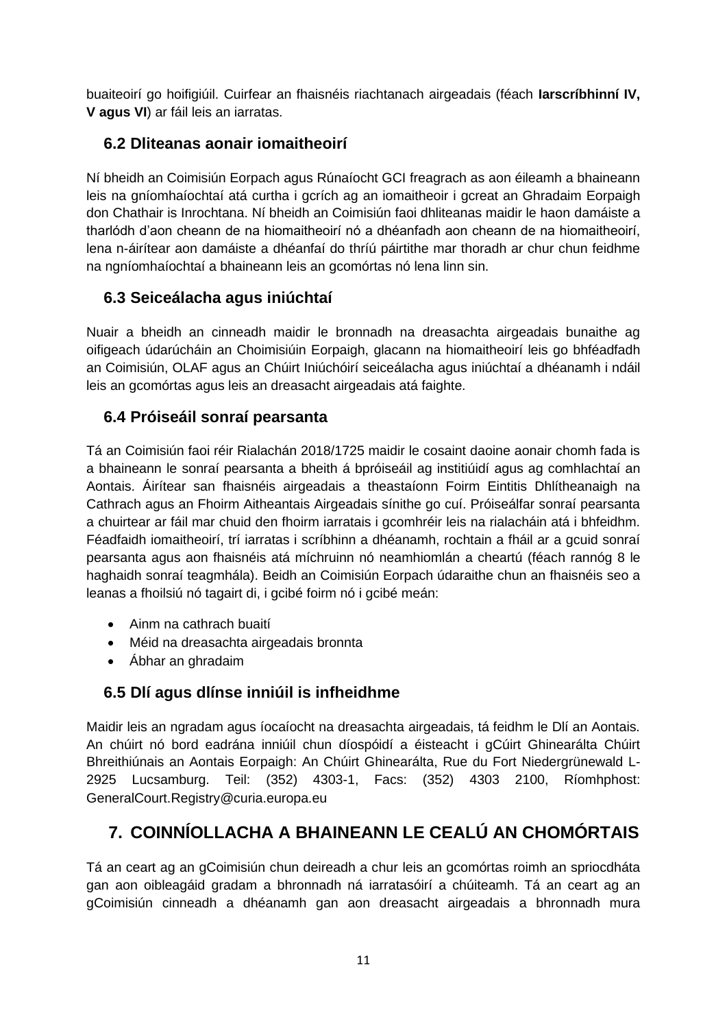buaiteoirí go hoifigiúil. Cuirfear an fhaisnéis riachtanach airgeadais (féach **Iarscríbhinní IV, V agus VI**) ar fáil leis an iarratas.

## <span id="page-10-0"></span>**6.2 Dliteanas aonair iomaitheoirí**

Ní bheidh an Coimisiún Eorpach agus Rúnaíocht GCI freagrach as aon éileamh a bhaineann leis na gníomhaíochtaí atá curtha i gcrích ag an iomaitheoir i gcreat an Ghradaim Eorpaigh don Chathair is Inrochtana. Ní bheidh an Coimisiún faoi dhliteanas maidir le haon damáiste a tharlódh d'aon cheann de na hiomaitheoirí nó a dhéanfadh aon cheann de na hiomaitheoirí, lena n-áirítear aon damáiste a dhéanfaí do thríú páirtithe mar thoradh ar chur chun feidhme na ngníomhaíochtaí a bhaineann leis an gcomórtas nó lena linn sin.

## <span id="page-10-1"></span>**6.3 Seiceálacha agus iniúchtaí**

Nuair a bheidh an cinneadh maidir le bronnadh na dreasachta airgeadais bunaithe ag oifigeach údarúcháin an Choimisiúin Eorpaigh, glacann na hiomaitheoirí leis go bhféadfadh an Coimisiún, OLAF agus an Chúirt Iniúchóirí seiceálacha agus iniúchtaí a dhéanamh i ndáil leis an gcomórtas agus leis an dreasacht airgeadais atá faighte.

## <span id="page-10-2"></span>**6.4 Próiseáil sonraí pearsanta**

Tá an Coimisiún faoi réir Rialachán 2018/1725 maidir le cosaint daoine aonair chomh fada is a bhaineann le sonraí pearsanta a bheith á bpróiseáil ag institiúidí agus ag comhlachtaí an Aontais. Áirítear san fhaisnéis airgeadais a theastaíonn Foirm Eintitis Dhlítheanaigh na Cathrach agus an Fhoirm Aitheantais Airgeadais sínithe go cuí. Próiseálfar sonraí pearsanta a chuirtear ar fáil mar chuid den fhoirm iarratais i gcomhréir leis na rialacháin atá i bhfeidhm. Féadfaidh iomaitheoirí, trí iarratas i scríbhinn a dhéanamh, rochtain a fháil ar a gcuid sonraí pearsanta agus aon fhaisnéis atá míchruinn nó neamhiomlán a cheartú (féach rannóg 8 le haghaidh sonraí teagmhála). Beidh an Coimisiún Eorpach údaraithe chun an fhaisnéis seo a leanas a fhoilsiú nó tagairt di, i gcibé foirm nó i gcibé meán:

- Ainm na cathrach buaití
- Méid na dreasachta airgeadais bronnta
- Ábhar an ghradaim

## <span id="page-10-3"></span>**6.5 Dlí agus dlínse inniúil is infheidhme**

Maidir leis an ngradam agus íocaíocht na dreasachta airgeadais, tá feidhm le Dlí an Aontais. An chúirt nó bord eadrána inniúil chun díospóidí a éisteacht i gCúirt Ghinearálta Chúirt Bhreithiúnais an Aontais Eorpaigh: An Chúirt Ghinearálta, Rue du Fort Niedergrünewald L-2925 Lucsamburg. Teil: (352) 4303-1, Facs: (352) 4303 2100, Ríomhphost: GeneralCourt.Registry@curia.europa.eu

# <span id="page-10-4"></span>**7. COINNÍOLLACHA A BHAINEANN LE CEALÚ AN CHOMÓRTAIS**

Tá an ceart ag an gCoimisiún chun deireadh a chur leis an gcomórtas roimh an spriocdháta gan aon oibleagáid gradam a bhronnadh ná iarratasóirí a chúiteamh. Tá an ceart ag an gCoimisiún cinneadh a dhéanamh gan aon dreasacht airgeadais a bhronnadh mura